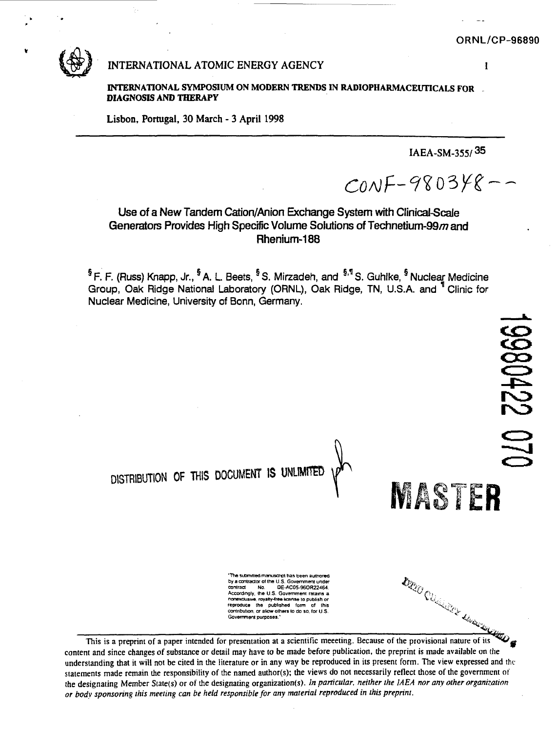

# **INTERNATIONAL ATOMIC ENERGY AGENCY 1**

**INTERNATIONAL SYMPOSIUM ON MODERN TRENDS IN RADIOPHARMACEUTICALS FOR DIAGNOSIS AND THERAPY**

**Lisbon, Portugal, 30 March - 3 April 1998**

**IAEA-SM-355/<sup>35</sup>**

 $CONF-980348--$ 

Use of a New Tandem Cation/Anion Exchange System with Clinical-Scale Generators Provides High Specific Volume Solutions of Technetium-99 $m$  and Rhenium-188

<sup>§</sup> F. F. (Russ) Knapp, Jr., <sup>§</sup> A. L. Beets, <sup>§</sup> S. Mirzadeh, and <sup>§,¶</sup> S. Guhlke, <sup>§</sup> Nuclea<u>r</u> Medicine Group, Oak Ridge National Laboratory (ORNL), Oak Ridge, TN, U.S.A. and ' Clinic for Nuclear Medicine, University of Bonn, Germany.



the designating Member Siate(s) or of the designating organization(s). *In particular, neither the IAEA nor any other organization*

*or body sponsoring this meeting can be held responsible for any material reproduced in this preprint.*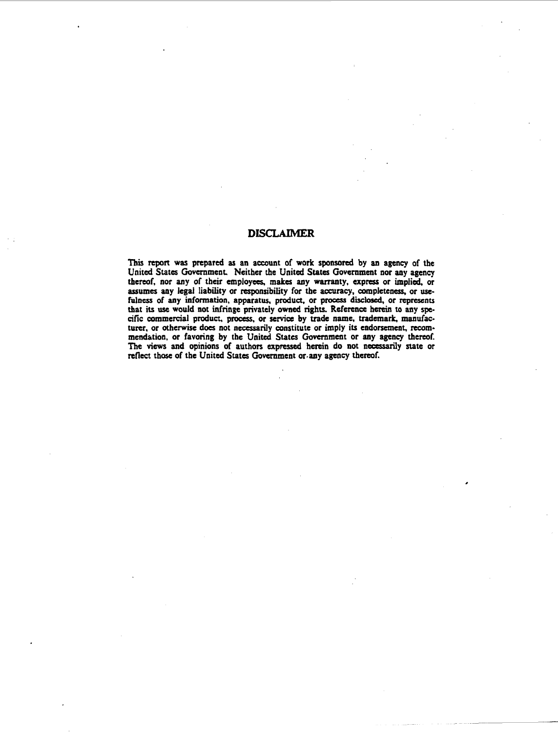#### **DISCLAIMER**

**This report was prepared as an account of work sponsored by an agency of the United States Government. Neither the United States Government nor any agency thereof, nor any of their employees, makes any warranty, express or implied, or assumes any legal liability or responsibility for the accuracy, completeness, or usefulness of any information, apparatus, product, or process disclosed, or represents that its use would not infringe privately owned rights. Reference herein to any specific commercial product, process, or service by trade name, trademark, manufacturer, or otherwise does not necessarily constitute or imply its endorsement, recommendation, or favoring by the United States Government or any agency thereof. The views and opinions of authors expressed herein do not necessarily state or** reflect those of the United States Government or any agency thereof.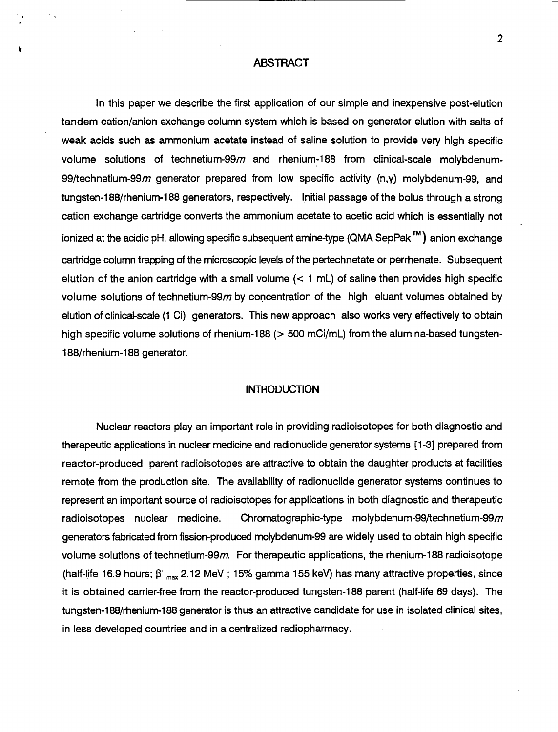#### **ABSTRACT**

In this paper we describe the first application of our simple and inexpensive post-elution tandem cation/anion exchange column system which is based on generator elution with salts of weak acids such as ammonium acetate instead of saline solution to provide very high specific volume solutions of technetium-99 $m$  and rhenium-188 from clinical-scale molybdenum-99/technetium-99 $m$  generator prepared from low specific activity (n,y) molybdenum-99, and tungsten-188/rhenium-188 generators, respectively. Initial passage of the bolus through a strong cation exchange cartridge converts the ammonium acetate to acetic acid which is essentially not ionized at the acidic pH, allowing specific subsequent amine-type (QMA SepPak™) anion exchange cartridge column trapping of the microscopic levels of the pertechnetate or perrhenate. Subsequent elution of the anion cartridge with a small volume  $(< 1$  mL) of saline then provides high specific volume solutions of technetium-99 $m$  by concentration of the high eluant volumes obtained by elution of clinical-scale (1 Ci) generators. This new approach also works very effectively to obtain high specific volume solutions of rhenium-188 ( $>$  500 mCi/mL) from the alumina-based tungsten-188/rhenium-188 generator.

#### **INTRODUCTION**

Nuclear reactors play an important role in providing radioisotopes for both diagnostic and therapeutic applications in nuclear medicine and radionuclide generator systems [1-3] prepared from reactor-produced parent radioisotopes are attractive to obtain the daughter products at facilities remote from the production site. The availability of radionuclide generator systems continues to represent an important source of radioisotopes for applications in both diagnostic and therapeutic radioisotopes nuclear medicine. Chromatographic-type molybdenum-99/technetium-99m generators fabricated from fission-produced molybdenum-99 are widely used to obtain high specific volume solutions of technetium-99 $m$ . For therapeutic applications, the rhenium-188 radioisotope (half-life 16.9 hours;  $\beta$  <sub>max</sub> 2.12 MeV ; 15% gamma 155 keV) has many attractive properties, since it is obtained carrier-free from the reactor-produced tungsten-188 parent (half-life 69 days). The tungsten-188/rhenium-188 generator is thus an attractive candidate for use in isolated clinical sites, in less developed countries and in a centralized radiopharmacy.

 $\overline{2}$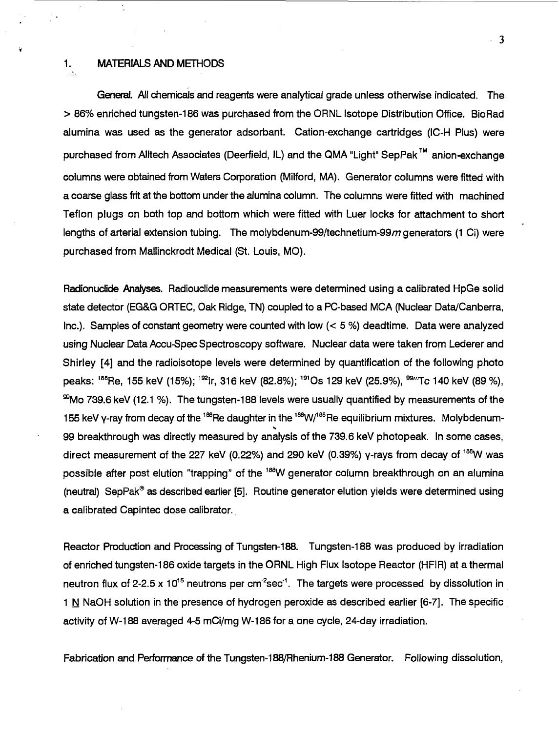#### 1. MATERIALS AND METHODS

yk.

General. All chemicals and reagents were analytical grade unless otherwise indicated. The > 86% enriched tungsten-186 was purchased from the ORNL Isotope Distribution Office. BioRad alumina was used as the generator adsorbant. Cation-exchange cartridges (IC-H Plus) were purchased from Alltech Associates (Deerfield, IL) and the QMA "Light" SepPak™ anion-exchange columns were obtained from Waters Corporation (Milford, MA). Generator columns were fitted with a coarse glass frit at the bottom under the alumina column. The columns were fitted with machined Teflon plugs on both top and bottom which were fitted with Luer locks for attachment to short lengths of arterial extension tubing. The molybdenum-99/technetium-99 $m$  generators (1 Ci) were purchased from Mallinckrodt Medical (St. Louis, MO).

Radionuclide Analyses. Radiouclide measurements were determined using a calibrated HpGe solid state detector (EG&G ORTEC, Oak Ridge, TN) coupled to a PC-based MCA (Nuclear Data/Canberra, Inc.). Samples of constant geometry were counted with low (< 5 %) deadtime. Data were analyzed using Nuclear Data Accu-Spec Spectroscopy software. Nuclear data were taken from Lederer and Shirley [4] and the radioisotope levels were determined by quantification of the following photo peaks: <sup>188</sup>Re, 155 keV (15%); <sup>192</sup>ir, 316 keV (82.8%); <sup>191</sup>Os 129 keV (25.9%), <sup>99</sup>″′Tc 140 keV (89 %) "Mo 739.6 keV (12.1 %). The tungsten-188 levels were usually quantified by measurements of the 155 keV y-ray from decay of the  $^{188}$ Re daughter in the  $^{188}$ W/ $^{188}$ Re equilibrium mixtures. Molybdenum $\cdot$ **s** 99 breakthrough was directly measured by analysis of the 739.6 keV photopeak. In some cases, direct measurement of the 227 keV (0.22%) and 290 keV (0.39%) y-rays from decay of <sup>188</sup>W was possible after post elution "trapping" of the <sup>188</sup>W generator column breakthrough on an alumina (neutral) SepPak® as described earlier [5]. Routine generator elution yields were determined using a calibrated Capintec dose calibrator.

Reactor Production and Processing of Tungsten-188. Tungsten-188 was produced by irradiation of enriched tungsten-186 oxide targets in the ORNL High Flux Isotope Reactor (HFIR) at a thermal neutron flux of 2-2.5 x 10<sup>15</sup> neutrons per cm<sup>-2</sup>sec<sup>-1</sup>. The targets were processed by dissolution in 1 N NaOH solution in the presence of hydrogen peroxide as described earlier  $[6-7]$ . The specific activity of W-188 averaged 4-5 mCi/mg W-186 for a one cycle, 24-day irradiation.

Fabrication and Performance of the Tungsten-188/Rhenium-188 Generator. Following dissolution,

 $-3$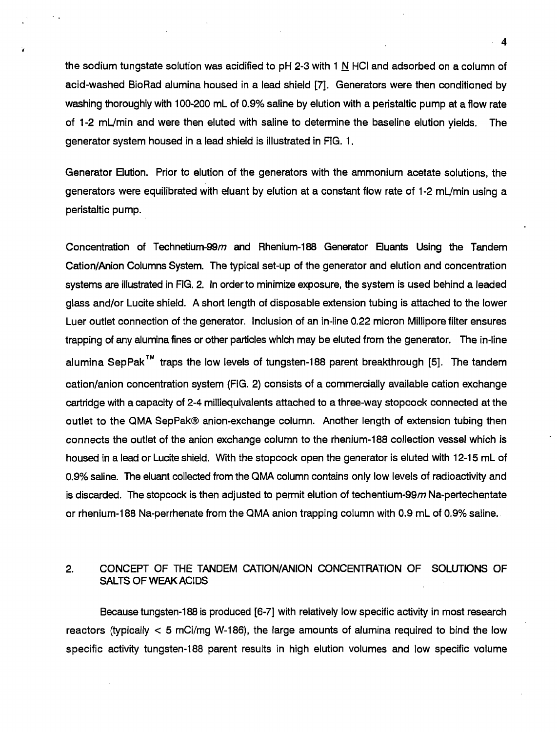the sodium tungstate solution was acidified to pH 2-3 with 1 N HCI and adsorbed on a column of acid-washed BioRad alumina housed in a lead shield [7]. Generators were then conditioned by washing thoroughly with 100-200 mL of 0.9% saline by elution with a peristaltic pump at a flow rate of 1 -2 mL/min and were then eluted with saline to determine the baseline elution yields. The generator system housed in a lead shield is illustrated in FIG. 1.

Generator Elution. Prior to elution of the generators with the ammonium acetate solutions, the generators were equilibrated with eluant by elution at a constant flow rate of 1-2 mL/min using a peristaltic pump.

Concentration of Technetium-99 $m$  and Rhenium-188 Generator Eluants Using the Tandem Cation/Anion Columns System. The typical set-up of the generator and elution and concentration systems are illustrated in FIG. 2. In order to minimize exposure, the system is used behind a leaded glass and/or Lucite shield. A short length of disposable extension tubing is attached to the lower Luer outlet connection of the generator. Inclusion of an in-line 0.22 micron Millipore filter ensures trapping of any alumina fines or other particles which may be eluted from the generator. The in-line alumina SepPak<sup>™</sup> traps the low levels of tungsten-188 parent breakthrough [5]. The tandem cation/anion concentration system (FIG. 2) consists of a commercially available cation exchange cartridge with a capacity of 2-4 milliequivalents attached to a three-way stopcock connected at the outlet to the QMA SepPak® anion-exchange column. Another length of extension tubing then connects the outlet of the anion exchange column to the rhenium-188 collection vessel which is housed in a lead or Lucite shield. With the stopcock open the generator is eluted with 12-15 mL of 0.9% saline. The eluant collected from the QMA column contains only low levels of radioactivity and is discarded. The stopcock is then adjusted to permit elution of techentium-99 $m$  Na-pertechentate or rhenium-188 Na-perrhenate from the QMA anion trapping column with 0.9 mL of 0.9% saline.

# 2. CONCEPT OF THE TANDEM CATION/ANION CONCENTRATION OF SOLUTIONS OF SALTS OF WEAK ACIDS

Because tungsten-188 is produced [6-7] with relatively low specific activity in most research reactors (typically < 5 mCi/mg W-186), the large amounts of alumina required to bind the low specific activity tungsten-188 parent results in high elution volumes and low specific volume

 $\boldsymbol{\Lambda}$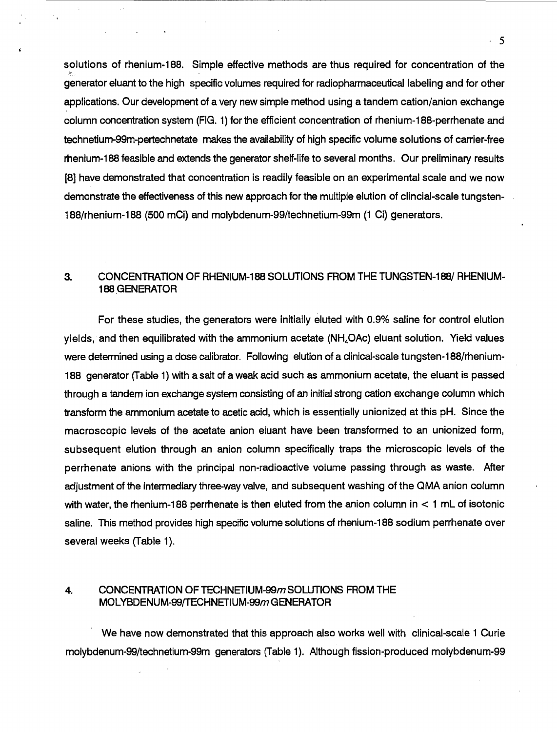solutions of rhenium-188. Simple effective methods are thus required for concentration of the generator eluant to the high specific volumes required for radiopharmaceutical labeling and for other applications. Our development of a very new simple method using a tandem cation/anion exchange column concentration system (FIG. 1) for the efficient concentration of rhenium-188-perrhenate and technetium-99m-pertechnetate makes the availability of high specific volume solutions of carrier-free rhenium-188 feasible and extends the generator shelf-life to several months. Our preliminary results [8] have demonstrated that concentration is readily feasible on an experimental scale and we now demonstrate the effectiveness of this new approach for the multiple elution of clincial-scale tungsten-188/rhenium-188 (500 mCi) and molybdenum-99/technetium-99m (1 Ci) generators.

# 3. CONCENTRATION OF RHENIUM-188 SOLUTIONS FROM THE TUNGSTEN-188/ RHENIUM-188 GENERATOR

For these studies, the generators were initially eluted with 0.9% saline for control elution yields, and then equilibrated with the ammonium acetate  $(NH_4OAc)$  eluant solution. Yield values were determined using a dose calibrator. Following elution of a clinical-scale tungsten-188/rhenium-188 generator (Table 1) with a salt of a weak acid such as ammonium acetate, the eluant is passed through a tandem ion exchange system consisting of an initial strong cation exchange column which transform the ammonium acetate to acetic acid, which is essentially unionized at this pH. Since the macroscopic levels of the acetate anion eluant have been transformed to an unionized form, subsequent elution through an anion column specifically traps the microscopic levels of the perrhenate anions with the principal non-radioactive volume passing through as waste. After adjustment of the intermediary three-way valve, and subsequent washing of the QMA anion column with water, the rhenium-188 perrhenate is then eluted from the anion column in < 1 mL of isotonic saline. This method provides high specific volume solutions of rhenium-188 sodium perrhenate over several weeks (Table 1).

#### 4. CONCENTRATION OF TECHNETIUM-99m SOLUTIONS FROM THE MOLYBDENUM-99/TECHNETIUM-99m GENERATOR

We have now demonstrated that this approach also works well with clinical-scale 1 Curie molybdenum-99/technetium-99m generators (Table 1). Although fission-produced molybdenum-99

 $5 - 5$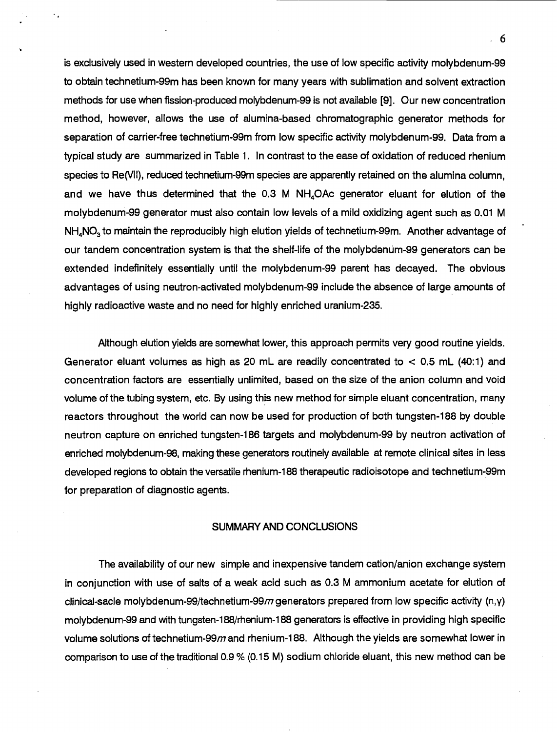is exclusively used in western developed countries, the use of low specific activity molybdenum-99 to obtain technetium-99m has been known for many years with sublimation and solvent extraction methods for use when fission-produced molybdenum-99 is not available [9]. Our new concentration method, however, allows the use of alumina-based chromatographic generator methods for separation of carrier-free technetium-99m from low specific activity molybdenum-99. Data from a typical study are summarized in Table 1. In contrast to the ease of oxidation of reduced rhenium species to Re(VII), reduced technetium-99m species are apparently retained on the alumina column, and we have thus determined that the 0.3 M NH4OAc generator eluant for elution of the molybdenum-99 generator must also contain low levels of a mild oxidizing agent such as 0.01 M NH<sub>4</sub>NO<sub>3</sub> to maintain the reproducibly high elution yields of technetium-99m. Another advantage of our tandem concentration system is that the shelf-life of the molybdenum-99 generators can be extended indefinitely essentially until the molybdenum-99 parent has decayed. The obvious advantages of using neutron-activated molybdenum-99 include the absence of large amounts of highly radioactive waste and no need for highly enriched uranium-235.

Although elution yields are somewhat lower, this approach permits very good routine yields. Generator eluant volumes as high as 20 mL are readily concentrated to  $< 0.5$  mL (40:1) and concentration factors are essentially unlimited, based on the size of the anion column and void volume of the tubing system, etc. By using this new method for simple eluant concentration, many reactors throughout the world can now be used for production of both tungsten-188 by double neutron capture on enriched tungsten-186 targets and molybdenum-99 by neutron activation of enriched molybdenum-98, making these generators routinely available at remote clinical sites in less developed regions to obtain the versatile rhenium-188 therapeutic radioisotope and technetium-99m for preparation of diagnostic agents.

#### SUMMARY AND CONCLUSIONS

The availability of our new simple and inexpensive tandem cation/anion exchange system in conjunction with use of salts of a weak acid such as 0.3 M ammonium acetate for elution of clinical-sacle molybdenum-99/technetium-99 $m$  generators prepared from low specific activity (n,y) molybdenum-99 and with tungsten-188/rhenium-188 generators is effective in providing high specific volume solutions of technetium-99 $m$  and rhenium-188. Although the yields are somewhat lower in comparison to use of the traditional 0.9 % (0.15 M) sodium chloride eluant, this new method can be

 $-6$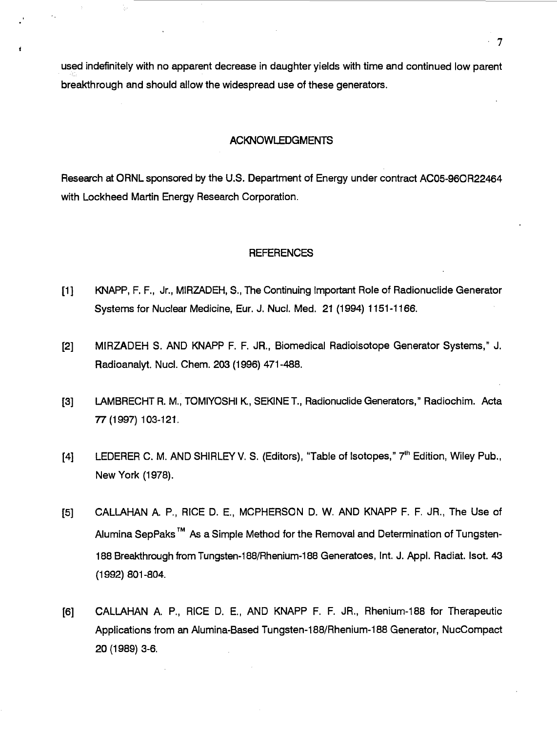used indefinitely with no apparent decrease in daughter yields with time and continued low parent breakthrough and should allow the widespread use of these generators.

#### ACKNOWLEDGMENTS

Research at ORNL sponsored by the U.S. Department of Energy under contract AC05-96OR22464 with Lockheed Martin Energy Research Corporation.

#### **REFERENCES**

- [1] KNAPP, F. R, Jr., MIRZADEH, S., The Continuing Important Role of Radionuclide Generator Systems for Nuclear Medicine, Eur. J. Nucl. Med. 21 (1994) 1151-1166.
- [2] MIRZADEH S. AND KNAPP F. F. JR., Biomedical Radioisotope Generator Systems," J. Radioanalyt. Nucl. Chem. 203 (1996) 471-488.
- [3] LAMBRECHT R. M., TOMIYOSHI K., SEWNE T., Radionuclide Generators," Radiochim. Acta 77(1997) 103-121.
- [4] LEDERER C. M. AND SHIRLEY V. S. (Editors), "Table of Isotopes," 7<sup>th</sup> Edition, Wiley Pub., New York (1978).
- [5] CALLAHAN A. P., RICE D. E, MCPHERSON D. W. AND KNAPP F. F. JR., The Use of Alumina SepPaks<sup>™</sup> As a Simple Method for the Removal and Determination of Tungsten-188 Breakthrough from Tungsten-188/Rhenium-188 Generatoes, Int. J. Appl. Radiat. Isot. 43 (1992) 801-804.
- [6] CALLAHAN A. P., RICE D. E, AND KNAPP F. F. JR., Rhenium-188 for Therapeutic Applications from an Alumina-Based Tungsten-188/Rhenium-188 Generator, NucCompact 20(1989)3-6.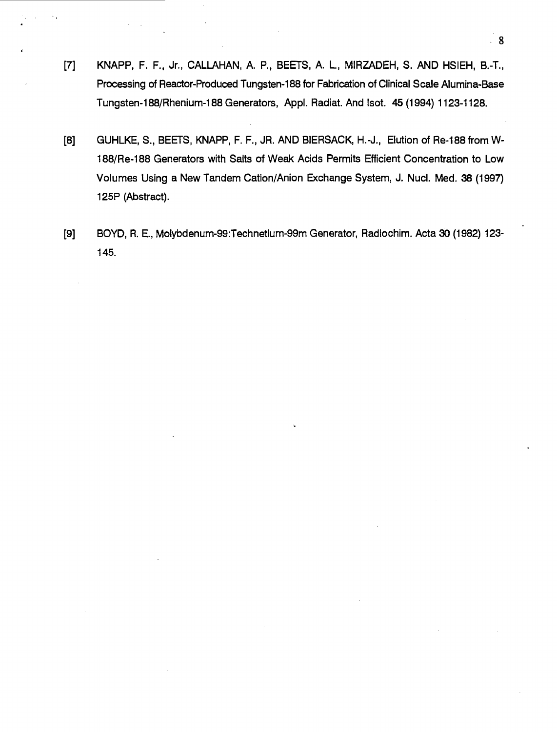- [7] KNAPP, F. F., Jr., CALLAHAN, A. P., BEETS, A. L, MIRZADEH, S. AND HSIEH, B.-T., Processing of Reactor-Produced Tungsten-188 for Fabrication of Clinical Scale Alumina-Base Tungsten-188/Rhenium-188 Generators, Appl. Radiat. And Isot. 45 (1994) 1123-1128.
- [8] GUHLKE, S., BEETS, KNAPP, F. F., JR. AND BIERSACK, H.-J., Elution of Re-188 from W-188/Re-188 Generators with Salts of Weak Acids Permits Efficient Concentration to Low Volumes Using a New Tandem Cation/Anion Exchange System, J. Nucl. Med. 38 (1997) 125P (Abstract).
- [9] BOYD, R. E., Molybdenum-99:Technetium-99m Generator, Radiochim. Acta 30 (1982) 123- 145.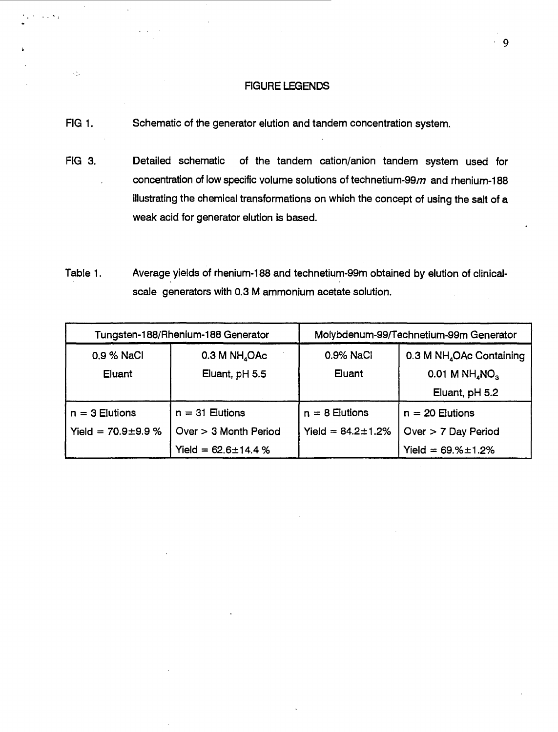#### FIGURE LEGENDS

FIG 1. Schematic of the generator elution and tandem concentration system.

Ò,

- FIG 3. Detailed schematic of the tandem cation/anion tandem system used for concentration of low specific volume solutions of technetium-99 $m$  and rhenium-188 illustrating the chemical transformations on which the concept of using the salt of a weak acid for generator elution is based.
- Table 1. Average yields of rhenium-188 and technetium-99m obtained by eiution of clinicalscale generators with 0.3 M ammonium acetate solution.

| Tungsten-188/Rhenium-188 Generator |                           | Molybdenum-99/Technetium-99m Generator |                                          |
|------------------------------------|---------------------------|----------------------------------------|------------------------------------------|
| 0.9 % NaCl                         | 0.3 M NH <sub>4</sub> OAc | 0.9% NaCl                              | 0.3 M NH <sub>4</sub> OAc Containing     |
| Eluant                             | Eluant, pH 5.5            | Eluant                                 | $0.01$ M NH <sub>4</sub> NO <sub>3</sub> |
|                                    |                           |                                        | Eluant, pH 5.2                           |
| $n = 3$ Elutions                   | $n = 31$ Elutions         | $n = 8$ Elutions                       | $n = 20$ Elutions                        |
| Yield = $70.9 \pm 9.9$ %           | Over $>$ 3 Month Period   | Yield = $84.2 \pm 1.2\%$               | Over > 7 Day Period                      |
|                                    | Yield = $62.6 \pm 14.4$ % |                                        | Yield = $69.% \pm 1.2%$                  |